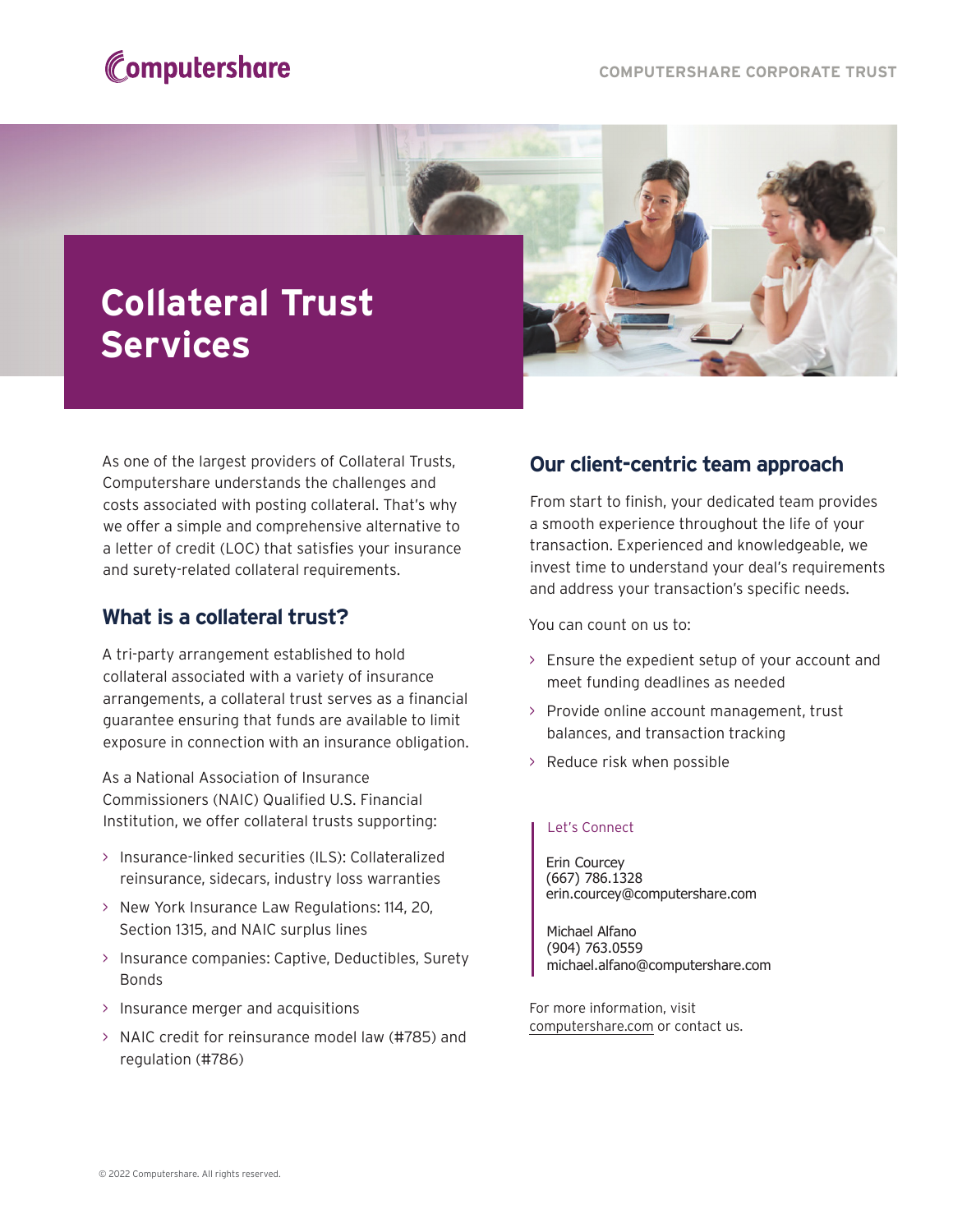



As one of the largest providers of Collateral Trusts, Computershare understands the challenges and costs associated with posting collateral. That's why we offer a simple and comprehensive alternative to a letter of credit (LOC) that satisfies your insurance and surety-related collateral requirements.

## **What is a collateral trust?**

A tri-party arrangement established to hold collateral associated with a variety of insurance arrangements, a collateral trust serves as a financial guarantee ensuring that funds are available to limit exposure in connection with an insurance obligation.

As a National Association of Insurance Commissioners (NAIC) Qualified U.S. Financial Institution, we offer collateral trusts supporting:

- $>$  Insurance-linked securities (ILS): Collateralized reinsurance, sidecars, industry loss warranties
- > New York Insurance Law Regulations: 114, 20, Section 1315, and NAIC surplus lines
- Bonds > Insurance companies: Captive, Deductibles, Surety
- > Insurance merger and acquisitions
- $>$  NAIC credit for reinsurance model law (#785) and regulation (#786)

## **Our client-centric team approach**

From start to finish, your dedicated team provides a smooth experience throughout the life of your transaction. Experienced and knowledgeable, we invest time to understand your deal's requirements and address your transaction's specific needs.

You can count on us to:

- > Ensure the expedient setup of your account and meet funding deadlines as needed
- > Provide online account management, trust balances, and transaction tracking
- > Reduce risk when possible

## Let's Connect

Erin Courcey (667) 786.1328 erin.courcey@computershare.com

Michael Alfano (904) 763.0559 michael.alfano@computershare.com

For more information, visit computershare.com or contact us.